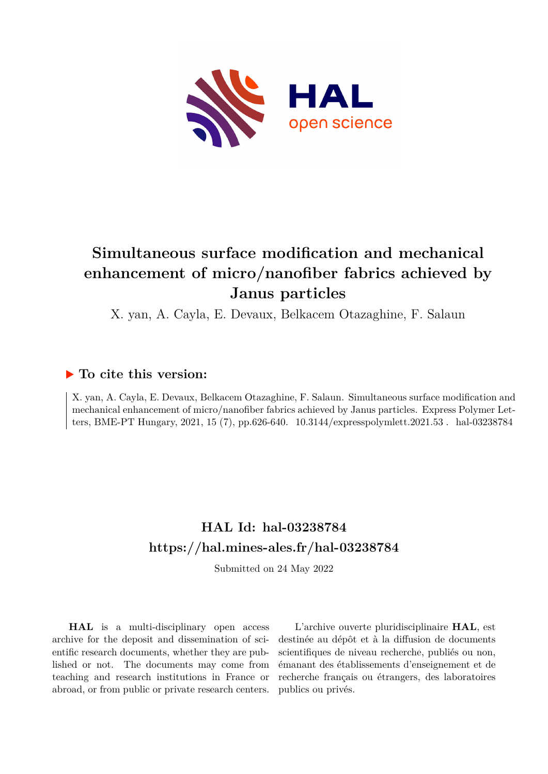

# **Simultaneous surface modification and mechanical enhancement of micro/nanofiber fabrics achieved by Janus particles**

X. yan, A. Cayla, E. Devaux, Belkacem Otazaghine, F. Salaun

## **To cite this version:**

X. yan, A. Cayla, E. Devaux, Belkacem Otazaghine, F. Salaun. Simultaneous surface modification and mechanical enhancement of micro/nanofiber fabrics achieved by Janus particles. Express Polymer Letters, BME-PT Hungary, 2021, 15 (7), pp.626-640.  $10.3144$ /expresspolymlett.2021.53. hal-03238784

## **HAL Id: hal-03238784 <https://hal.mines-ales.fr/hal-03238784>**

Submitted on 24 May 2022

**HAL** is a multi-disciplinary open access archive for the deposit and dissemination of scientific research documents, whether they are published or not. The documents may come from teaching and research institutions in France or abroad, or from public or private research centers.

L'archive ouverte pluridisciplinaire **HAL**, est destinée au dépôt et à la diffusion de documents scientifiques de niveau recherche, publiés ou non, émanant des établissements d'enseignement et de recherche français ou étrangers, des laboratoires publics ou privés.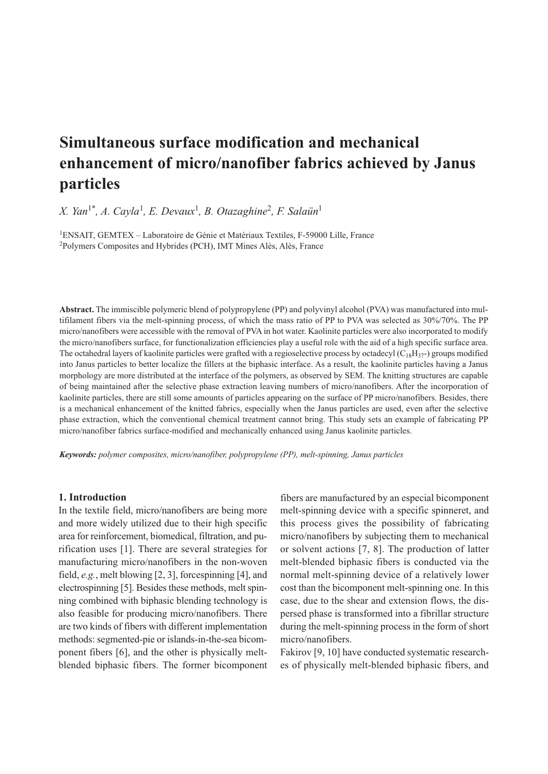## **Simultaneous surface modification and mechanical enhancement of micro/nanofiber fabrics achieved by Janus particles**

*X. Yan*1\* *, A. Cayla*<sup>1</sup> *, E. Devaux*<sup>1</sup> *, B. Otazaghine*<sup>2</sup> *, F. Salaün*<sup>1</sup>

<sup>1</sup>ENSAIT, GEMTEX – Laboratoire de Génie et Matériaux Textiles, F-59000 Lille, France <sup>2</sup>Polymers Composites and Hybrides (PCH), IMT Mines Alès, Alès, France

**Abstract.** The immiscible polymeric blend of polypropylene (PP) and polyvinyl alcohol (PVA) was manufactured into multifilament fibers via the melt-spinning process, of which the mass ratio of PP to PVA was selected as 30%/70%. The PP micro/nanofibers were accessible with the removal of PVA in hot water. Kaolinite particles were also incorporated to modify the micro/nanofibers surface, for functionalization efficiencies play a useful role with the aid of a high specific surface area. The octahedral layers of kaolinite particles were grafted with a regioselective process by octadecyl  $(C_{18}H_{37})$  groups modified into Janus particles to better localize the fillers at the biphasic interface. As a result, the kaolinite particles having a Janus morphology are more distributed at the interface of the polymers, as observed by SEM. The knitting structures are capable of being maintained after the selective phase extraction leaving numbers of micro/nanofibers. After the incorporation of kaolinite particles, there are still some amounts of particles appearing on the surface of PP micro/nanofibers. Besides, there is a mechanical enhancement of the knitted fabrics, especially when the Janus particles are used, even after the selective phase extraction, which the conventional chemical treatment cannot bring. This study sets an example of fabricating PP micro/nanofiber fabrics surface-modified and mechanically enhanced using Janus kaolinite particles.

*Keywords: polymer composites, micro/nanofiber, polypropylene (PP), melt-spinning, Janus particles*

## **1. Introduction**

In the textile field, micro/nanofibers are being more and more widely utilized due to their high specific area for reinforcement, biomedical, filtration, and purification uses [1]. There are several strategies for manufacturing micro/nanofibers in the non-woven field, *e.g.*, melt blowing [2, 3], forcespinning [4], and electrospinning [5]. Besides these methods, melt spinning combined with biphasic blending technology is also feasible for producing micro/nanofibers. There are two kinds of fibers with different implementation methods: segmented-pie or islands-in-the-sea bicomponent fibers [6], and the other is physically meltblended biphasic fibers. The former bicomponent fibers are manufactured by an especial bicomponent melt-spinning device with a specific spinneret, and this process gives the possibility of fabricating micro/nanofibers by subjecting them to mechanical or solvent actions [7, 8]. The production of latter melt-blended biphasic fibers is conducted via the normal melt-spinning device of a relatively lower cost than the bicomponent melt-spinning one. In this case, due to the shear and extension flows, the dispersed phase is transformed into a fibrillar structure during the melt-spinning process in the form of short micro/nanofibers.

Fakirov [9, 10] have conducted systematic researches of physically melt-blended biphasic fibers, and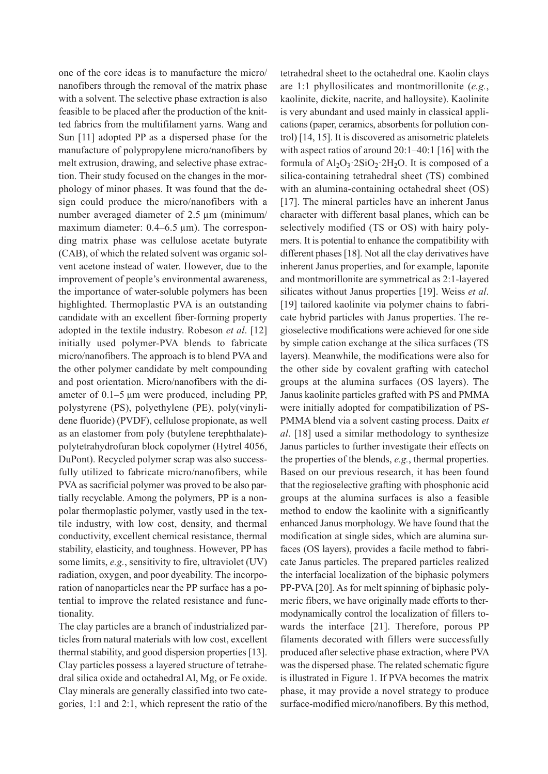one of the core ideas is to manufacture the micro/ nanofibers through the removal of the matrix phase with a solvent. The selective phase extraction is also feasible to be placed after the production of the knitted fabrics from the multifilament yarns. Wang and Sun [11] adopted PP as a dispersed phase for the manufacture of polypropylene micro/nanofibers by melt extrusion, drawing, and selective phase extraction. Their study focused on the changes in the morphology of minor phases. It was found that the design could produce the micro/nanofibers with a number averaged diameter of 2.5  $\mu$ m (minimum/ maximum diameter: 0.4–6.5 µm). The corresponding matrix phase was cellulose acetate butyrate (CAB), of which the related solvent was organic solvent acetone instead of water. However, due to the improvement of people's environmental awareness, the importance of water-soluble polymers has been highlighted. Thermoplastic PVA is an outstanding candidate with an excellent fiber-forming property adopted in the textile industry. Robeson *et al*. [12] initially used polymer-PVA blends to fabricate micro/nanofibers. The approach is to blend PVA and the other polymer candidate by melt compounding and post orientation. Micro/nanofibers with the diameter of 0.1–5 μm were produced, including PP, polystyrene (PS), polyethylene (PE), poly(vinylidene fluoride) (PVDF), cellulose propionate, as well as an elastomer from poly (butylene terephthalate) polytetrahydrofuran block copolymer (Hytrel 4056, DuPont). Recycled polymer scrap was also successfully utilized to fabricate micro/nanofibers, while PVA as sacrificial polymer was proved to be also partially recyclable. Among the polymers, PP is a nonpolar thermoplastic polymer, vastly used in the textile industry, with low cost, density, and thermal conductivity, excellent chemical resistance, thermal stability, elasticity, and toughness. However, PP has some limits, *e.g.*, sensitivity to fire, ultraviolet (UV) radiation, oxygen, and poor dyeability. The incorporation of nanoparticles near the PP surface has a potential to improve the related resistance and functionality.

The clay particles are a branch of industrialized particles from natural materials with low cost, excellent thermal stability, and good dispersion properties [13]. Clay particles possess a layered structure of tetrahedral silica oxide and octahedral Al, Mg, or Fe oxide. Clay minerals are generally classified into two categories, 1:1 and 2:1, which represent the ratio of the tetrahedral sheet to the octahedral one. Kaolin clays are 1:1 phyllosilicates and montmorillonite (*e.g.*, kaolinite, dickite, nacrite, and halloysite). Kaolinite is very abundant and used mainly in classical applications (paper, ceramics, absorbents for pollution control) [14, 15]. It is discovered as anisometric platelets with aspect ratios of around 20:1–40:1 [16] with the formula of  $Al_2O_3$   $2SiO_2$   $2H_2O$ . It is composed of a silica-containing tetrahedral sheet (TS) combined with an alumina-containing octahedral sheet (OS) [17]. The mineral particles have an inherent Janus character with different basal planes, which can be selectively modified (TS or OS) with hairy polymers. It is potential to enhance the compatibility with different phases [18]. Not all the clay derivatives have inherent Janus properties, and for example, laponite and montmorillonite are symmetrical as 2:1-layered silicates without Janus properties [19]. Weiss *et al*. [19] tailored kaolinite via polymer chains to fabricate hybrid particles with Janus properties. The regioselective modifications were achieved for one side by simple cation exchange at the silica surfaces (TS layers). Meanwhile, the modifications were also for the other side by covalent grafting with catechol groups at the alumina surfaces (OS layers). The Janus kaolinite particles grafted with PS and PMMA were initially adopted for compatibilization of PS-PMMA blend via a solvent casting process. Daitx *et al*. [18] used a similar methodology to synthesize Janus particles to further investigate their effects on the properties of the blends, *e.g.*, thermal properties. Based on our previous research, it has been found that the regioselective grafting with phosphonic acid groups at the alumina surfaces is also a feasible method to endow the kaolinite with a significantly enhanced Janus morphology. We have found that the modification at single sides, which are alumina surfaces (OS layers), provides a facile method to fabricate Janus particles. The prepared particles realized the interfacial localization of the biphasic polymers PP-PVA [20]. As for melt spinning of biphasic polymeric fibers, we have originally made efforts to thermodynamically control the localization of fillers towards the interface [21]. Therefore, porous PP filaments decorated with fillers were successfully produced after selective phase extraction, where PVA was the dispersed phase. The related schematic figure is illustrated in Figure 1. If PVA becomes the matrix phase, it may provide a novel strategy to produce surface-modified micro/nanofibers. By this method,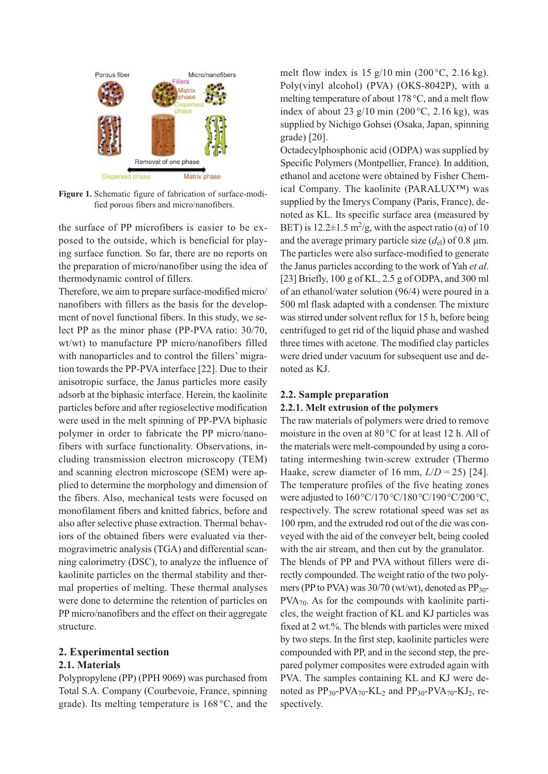

**Figure 1.** Schematic figure of fabrication of surface-modified porous fibers and micro/nanofibers.

the surface of PP microfibers is easier to be exposed to the outside, which is beneficial for playing surface function. So far, there are no reports on the preparation of micro/nanofiber using the idea of thermodynamic control of fillers.

Therefore, we aim to prepare surface-modified micro/ nanofibers with fillers as the basis for the development of novel functional fibers. In this study, we select PP as the minor phase (PP-PVA ratio: 30/70, wt/wt) to manufacture PP micro/nanofibers filled with nanoparticles and to control the fillers' migration towards the PP-PVA interface [22]. Due to their anisotropic surface, the Janus particles more easily adsorb at the biphasic interface. Herein, the kaolinite particles before and after regioselective modification were used in the melt spinning of PP-PVA biphasic polymer in order to fabricate the PP micro/nanofibers with surface functionality. Observations, including transmission electron microscopy (TEM) and scanning electron microscope (SEM) were applied to determine the morphology and dimension of the fibers. Also, mechanical tests were focused on monofilament fibers and knitted fabrics, before and also after selective phase extraction. Thermal behaviors of the obtained fibers were evaluated via thermogravimetric analysis (TGA) and differential scanning calorimetry (DSC), to analyze the influence of kaolinite particles on the thermal stability and thermal properties of melting. These thermal analyses were done to determine the retention of particles on PP micro/nanofibers and the effect on their aggregate structure.

## **2. Experimental section**

### **2.1. Materials**

Polypropylene (PP) (PPH 9069) was purchased from Total S.A. Company (Courbevoie, France, spinning grade). Its melting temperature is 168°C, and the melt flow index is  $15 \frac{\text{g}}{10}$  min (200 °C, 2.16 kg). Poly(vinyl alcohol) (PVA) (OKS-8042P), with a melting temperature of about 178°C, and a melt flow index of about 23 g/10 min (200 °C, 2.16 kg), was supplied by Nichigo Gohsei (Osaka, Japan, spinning grade) [20].

Octadecylphosphonic acid (ODPA) was supplied by Specific Polymers (Montpellier, France). In addition, ethanol and acetone were obtained by Fisher Chemical Company. The kaolinite (PARALUX™) was supplied by the Imerys Company (Paris, France), denoted as KL. Its specific surface area (measured by BET) is 12.2 $\pm$ 1.5 m<sup>2</sup>/g, with the aspect ratio ( $\alpha$ ) of 10 and the average primary particle size  $(d_{el})$  of 0.8  $\mu$ m. The particles were also surface-modified to generate the Janus particles according to the work of Yah *et al*. [23] Briefly, 100 g of KL, 2.5 g of ODPA, and 300 ml of an ethanol/water solution (96/4) were poured in a 500 ml flask adapted with a condenser. The mixture was stirred under solvent reflux for 15 h, before being centrifuged to get rid of the liquid phase and washed three times with acetone. The modified clay particles were dried under vacuum for subsequent use and denoted as KJ.

### **2.2. Sample preparation**

## **2.2.1. Melt extrusion of the polymers**

The raw materials of polymers were dried to remove moisture in the oven at 80 °C for at least 12 h. All of the materials were melt-compounded by using a corotating intermeshing twin-screw extruder (Thermo Haake, screw diameter of 16 mm,  $L/D = 25$  [24]. The temperature profiles of the five heating zones were adjusted to 160°C/170°C/180°C/190°C/200°C, respectively. The screw rotational speed was set as 100 rpm, and the extruded rod out of the die was conveyed with the aid of the conveyer belt, being cooled with the air stream, and then cut by the granulator. The blends of PP and PVA without fillers were directly compounded. The weight ratio of the two polymers (PP to PVA) was  $30/70$  (wt/wt), denoted as  $PP_{30}$ -PVA70. As for the compounds with kaolinite particles, the weight fraction of KL and KJ particles was fixed at 2 wt.%. The blends with particles were mixed by two steps. In the first step, kaolinite particles were compounded with PP, and in the second step, the prepared polymer composites were extruded again with PVA. The samples containing KL and KJ were denoted as  $PP_{30}$ -PVA<sub>70</sub>-KL<sub>2</sub> and  $PP_{30}$ -PVA<sub>70</sub>-KJ<sub>2</sub>, respectively.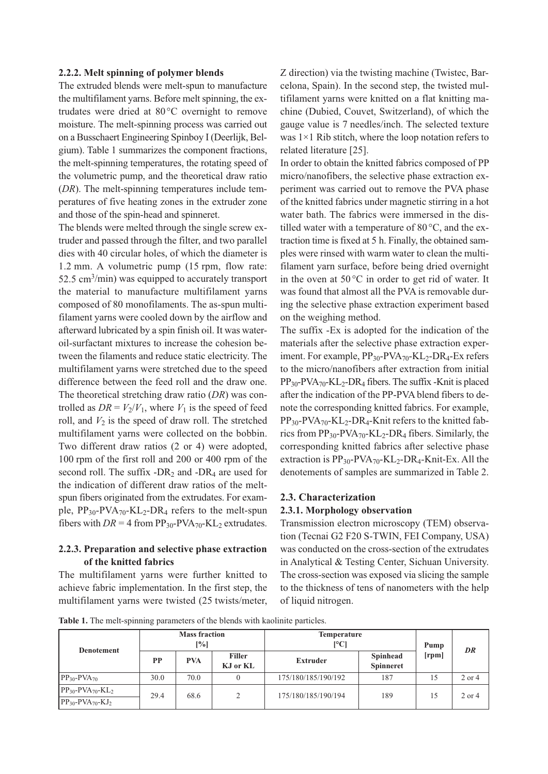#### **2.2.2. Melt spinning of polymer blends**

The extruded blends were melt-spun to manufacture the multifilament yarns. Before melt spinning, the extrudates were dried at 80°C overnight to remove moisture. The melt-spinning process was carried out on a Busschaert Engineering Spinboy I (Deerlijk, Belgium). Table 1 summarizes the component fractions, the melt-spinning temperatures, the rotating speed of the volumetric pump, and the theoretical draw ratio (*DR*). The melt-spinning temperatures include temperatures of five heating zones in the extruder zone and those of the spin-head and spinneret.

The blends were melted through the single screw extruder and passed through the filter, and two parallel dies with 40 circular holes, of which the diameter is 1.2 mm. A volumetric pump (15 rpm, flow rate:  $52.5 \text{ cm}^3/\text{min}$ ) was equipped to accurately transport the material to manufacture multifilament yarns composed of 80 monofilaments. The as-spun multifilament yarns were cooled down by the airflow and afterward lubricated by a spin finish oil. It was wateroil-surfactant mixtures to increase the cohesion between the filaments and reduce static electricity. The multifilament yarns were stretched due to the speed difference between the feed roll and the draw one. The theoretical stretching draw ratio (*DR*) was controlled as  $DR = V_2/V_1$ , where  $V_1$  is the speed of feed roll, and  $V_2$  is the speed of draw roll. The stretched multifilament yarns were collected on the bobbin. Two different draw ratios (2 or 4) were adopted, 100 rpm of the first roll and 200 or 400 rpm of the second roll. The suffix  $-DR_2$  and  $-DR_4$  are used for the indication of different draw ratios of the meltspun fibers originated from the extrudates. For example,  $PP_{30}$ -PVA<sub>70</sub>-KL<sub>2</sub>-DR<sub>4</sub> refers to the melt-spun fibers with  $DR = 4$  from  $PP_{30}$ -PVA<sub>70</sub>-KL<sub>2</sub> extrudates.

## **2.2.3. Preparation and selective phase extraction of the knitted fabrics**

The multifilament yarns were further knitted to achieve fabric implementation. In the first step, the multifilament yarns were twisted (25 twists/meter, Z direction) via the twisting machine (Twistec, Barcelona, Spain). In the second step, the twisted multifilament yarns were knitted on a flat knitting machine (Dubied, Couvet, Switzerland), of which the gauge value is 7 needles/inch. The selected texture was 1×1 Rib stitch, where the loop notation refers to related literature [25].

In order to obtain the knitted fabrics composed of PP micro/nanofibers, the selective phase extraction experiment was carried out to remove the PVA phase of the knitted fabrics under magnetic stirring in a hot water bath. The fabrics were immersed in the distilled water with a temperature of 80 °C, and the extraction time is fixed at 5 h. Finally, the obtained samples were rinsed with warm water to clean the multifilament yarn surface, before being dried overnight in the oven at  $50^{\circ}$ C in order to get rid of water. It was found that almost all the PVA is removable during the selective phase extraction experiment based on the weighing method.

The suffix -Ex is adopted for the indication of the materials after the selective phase extraction experiment. For example, PP<sub>30</sub>-PVA<sub>70</sub>-KL<sub>2</sub>-DR<sub>4</sub>-Ex refers to the micro/nanofibers after extraction from initial  $PP_{30}$ -PVA<sub>70</sub>-KL<sub>2</sub>-DR<sub>4</sub> fibers. The suffix -Knit is placed after the indication of the PP-PVA blend fibers to denote the corresponding knitted fabrics. For example,  $PP_{30}$ -PVA<sub>70</sub>-KL<sub>2</sub>-DR<sub>4</sub>-Knit refers to the knitted fabrics from  $PP_{30}$ -PVA<sub>70</sub>-KL<sub>2</sub>-DR<sub>4</sub> fibers. Similarly, the corresponding knitted fabrics after selective phase extraction is PP30-PVA70-KL2-DR4*-*Knit-Ex. All the denotements of samples are summarized in Table 2.

#### **2.3. Characterization**

#### **2.3.1. Morphology observation**

Transmission electron microscopy (TEM) observation (Tecnai G2 F20 S-TWIN, FEI Company, USA) was conducted on the cross-section of the extrudates in Analytical & Testing Center, Sichuan University. The cross-section was exposed via slicing the sample to the thickness of tens of nanometers with the help of liquid nitrogen.

**Table 1.** The melt-spinning parameters of the blends with kaolinite particles.

| <b>Denotement</b>                                                                              | <b>Mass fraction</b><br>$[\%]$ |            |                           | <b>Temperature</b><br>$\lceil$ <sup>o</sup> Cl | Pump                                | DR    |            |
|------------------------------------------------------------------------------------------------|--------------------------------|------------|---------------------------|------------------------------------------------|-------------------------------------|-------|------------|
|                                                                                                | <b>PP</b>                      | <b>PVA</b> | <b>Filler</b><br>KJ or KL | <b>Extruder</b>                                | <b>Spinhead</b><br><b>Spinneret</b> | [rpm] |            |
| $PP_{30}$ -PVA <sub>70</sub>                                                                   | 30.0                           | 70.0       |                           | 175/180/185/190/192                            | 187                                 | 15    | $2$ or $4$ |
| $PP_{30}$ -PVA <sub>70</sub> -KL <sub>2</sub><br>$PP_{30}$ -PVA <sub>70</sub> -KJ <sub>2</sub> | 29.4                           | 68.6       | $\overline{c}$            | 175/180/185/190/194                            | 189                                 | 15    | 2 or 4     |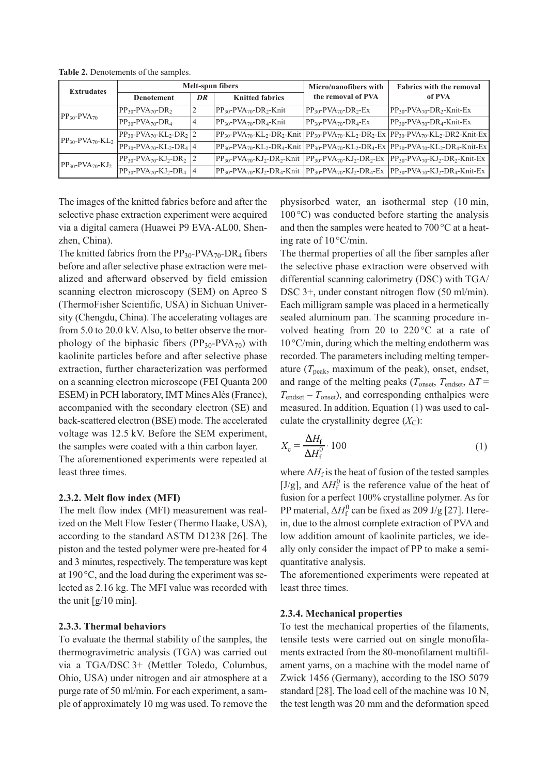| <b>Extrudates</b>                             |                                                                  |                              | Melt-spun fibers                                    | Micro/nanofibers with                             | <b>Fabrics with the removal</b>                                                                                                                                                                                                   |  |
|-----------------------------------------------|------------------------------------------------------------------|------------------------------|-----------------------------------------------------|---------------------------------------------------|-----------------------------------------------------------------------------------------------------------------------------------------------------------------------------------------------------------------------------------|--|
|                                               | <b>Denotement</b>                                                | <b>Knitted fabrics</b><br>DR |                                                     | the removal of PVA                                | of PVA                                                                                                                                                                                                                            |  |
| $PP_{30}$ -PVA <sub>70</sub>                  | $PP_{30}$ -PVA <sub>70</sub> -DR <sub>2</sub>                    | 2                            | $PP_{30}$ -PVA <sub>70</sub> -DR <sub>2</sub> -Knit | $PP_{30}$ -PVA <sub>70</sub> -DR <sub>2</sub> -Ex | $PP_{30}$ -PVA <sub>70</sub> -DR <sub>2</sub> -Knit-Ex                                                                                                                                                                            |  |
|                                               | $PP_{30}$ -PVA <sub>70</sub> -DR <sub>4</sub>                    | 4                            | $PP_{30}$ -PVA <sub>70</sub> -DR <sub>4</sub> -Knit | $PP_{30}$ -PVA <sub>70</sub> -DR <sub>4</sub> -Ex | $PP_{30}$ -PVA <sub>70</sub> -DR <sub>4</sub> -Knit-Ex                                                                                                                                                                            |  |
| $PP_{30}$ -PVA <sub>70</sub> -KL <sub>2</sub> | $PP_{30} - PVA_{70} - KL_2 - DR_2$ 2                             |                              |                                                     |                                                   | $PP_{30} - PVA_{70} - KL_2 - DR_2 - K$ nit $PP_{30} - PVA_{70} - KL_2 - DR_2 - Ex$ $PP_{30} - PVA_{70} - KL_2 - DR_2 - K$ nit-Ex                                                                                                  |  |
|                                               | $PP_{30}$ -PVA <sub>70</sub> -KL <sub>2</sub> -DR <sub>4</sub> 4 |                              |                                                     |                                                   | $PP_{30}$ -PVA <sub>70</sub> -KL <sub>2</sub> -DR <sub>4</sub> -Knit   PP <sub>30</sub> -PVA <sub>70</sub> -KL <sub>2</sub> -DR <sub>4</sub> -Ex   PP <sub>30</sub> -PVA <sub>70</sub> -KL <sub>2</sub> -DR <sub>4</sub> -Knit-Ex |  |
| $PP_{30}$ -PVA <sub>70</sub> -KJ <sub>2</sub> | $PP_{30}$ -PVA <sub>70</sub> -KJ <sub>2</sub> -DR <sub>2</sub> 2 |                              |                                                     |                                                   | $ PP_{30}-PVA_{70}-KJ_2-DR_2-Knit $ $ PP_{30}-PVA_{70}-KJ_2-DR_2-Ex $ $ PP_{30}-PVA_{70}-KJ_2-DR_2-Knit-Ex $                                                                                                                      |  |
|                                               | $PP_{30} - PVA_{70} - KJ_2 - DR_4$ 4                             |                              |                                                     |                                                   | $PP_{30} - PVA_{70} - KJ_2 - DR_4 - K$ nit $PP_{30} - PVA_{70} - KJ_2 - DR_4 - Ex$ $PP_{30} - PVA_{70} - KJ_2 - DR_4 - K$ nit-Ex                                                                                                  |  |

**Table 2.** Denotements of the samples.

The images of the knitted fabrics before and after the selective phase extraction experiment were acquired via a digital camera (Huawei P9 EVA-AL00, Shenzhen, China).

The knitted fabrics from the  $PP_{30}$ -PVA<sub>70</sub>-DR<sub>4</sub> fibers before and after selective phase extraction were metalized and afterward observed by field emission scanning electron microscopy (SEM) on Apreo S (ThermoFisher Scientific, USA) in Sichuan University (Chengdu, China). The accelerating voltages are from 5.0 to 20.0 kV. Also, to better observe the morphology of the biphasic fibers  $(PP_{30}-PVA_{70})$  with kaolinite particles before and after selective phase extraction, further characterization was performed on a scanning electron microscope (FEI Quanta 200 ESEM) in PCH laboratory, IMT Mines Alès (France), accompanied with the secondary electron (SE) and back-scattered electron (BSE) mode. The accelerated voltage was 12.5 kV. Before the SEM experiment, the samples were coated with a thin carbon layer.

The aforementioned experiments were repeated at least three times.

## **2.3.2. Melt flow index (MFI)**

The melt flow index (MFI) measurement was realized on the Melt Flow Tester (Thermo Haake, USA), according to the standard ASTM D1238 [26]. The piston and the tested polymer were pre-heated for 4 and 3 minutes, respectively. The temperature was kept at 190°C, and the load during the experiment was selected as 2.16 kg. The MFI value was recorded with the unit  $[g/10 \text{ min}]$ .

## **2.3.3. Thermal behaviors**

To evaluate the thermal stability of the samples, the thermogravimetric analysis (TGA) was carried out via a TGA/DSC 3+ (Mettler Toledo, Columbus, Ohio, USA) under nitrogen and air atmosphere at a purge rate of 50 ml/min. For each experiment, a sample of approximately 10 mg was used. To remove the physisorbed water, an isothermal step (10 min,  $100^{\circ}$ C) was conducted before starting the analysis and then the samples were heated to 700°C at a heating rate of  $10^{\circ}$ C/min.

The thermal properties of all the fiber samples after the selective phase extraction were observed with differential scanning calorimetry (DSC) with TGA/ DSC 3+, under constant nitrogen flow (50 ml/min). Each milligram sample was placed in a hermetically sealed aluminum pan. The scanning procedure involved heating from 20 to  $220^{\circ}$ C at a rate of 10°C/min, during which the melting endotherm was recorded. The parameters including melting temperature  $(T_{\text{peak}})$ , maximum of the peak), onset, endset, and range of the melting peaks ( $T_{\text{onset}}$ ,  $T_{\text{endset}}$ ,  $\Delta T$  =  $T_{\text{endset}} - T_{\text{onset}}$ , and corresponding enthalpies were measured. In addition, Equation (1) was used to calculate the crystallinity degree  $(X_C)$ :

$$
X_{\rm c} = \frac{\Delta H_{\rm f}}{\Delta H_{\rm f}^0} \cdot 100\tag{1}
$$

where  $\Delta H_f$  is the heat of fusion of the tested samples [J/g], and  $\Delta H_f^0$  is the reference value of the heat of fusion for a perfect 100% crystalline polymer. As for PP material,  $\Delta H_f^0$  can be fixed as 209 J/g [27]. Herein, due to the almost complete extraction of PVA and low addition amount of kaolinite particles, we ideally only consider the impact of PP to make a semiquantitative analysis.

The aforementioned experiments were repeated at least three times.

## **2.3.4. Mechanical properties**

To test the mechanical properties of the filaments, tensile tests were carried out on single monofilaments extracted from the 80-monofilament multifilament yarns, on a machine with the model name of Zwick 1456 (Germany), according to the ISO 5079 standard [28]. The load cell of the machine was 10 N, the test length was 20 mm and the deformation speed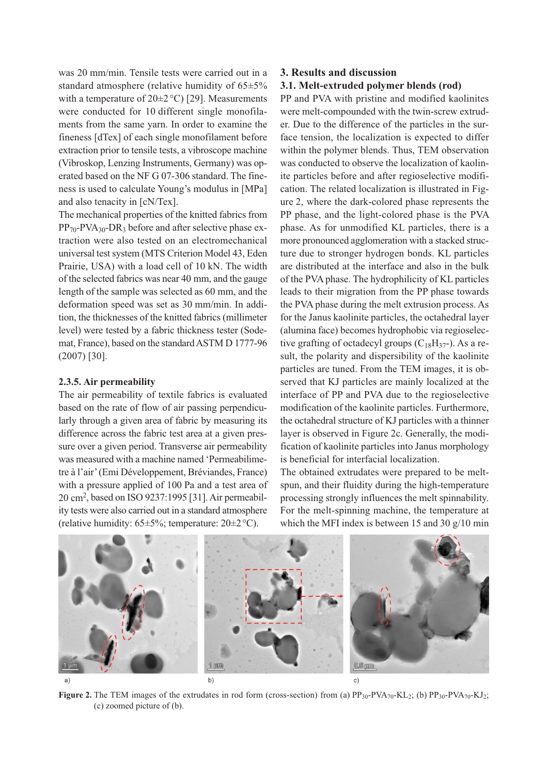was 20 mm/min. Tensile tests were carried out in a standard atmosphere (relative humidity of 65±5% with a temperature of  $20\pm2\degree C$  [29]. Measurements were conducted for 10 different single monofilaments from the same yarn. In order to examine the fineness [dTex] of each single monofilament before extraction prior to tensile tests, a vibroscope machine (Vibroskop, Lenzing Instruments, Germany) was operated based on the NF G 07-306 standard. The fineness is used to calculate Young's modulus in [MPa] and also tenacity in [cN/Tex].

The mechanical properties of the knitted fabrics from  $PP_{70}$ -PVA<sub>30</sub>-DR<sub>3</sub> before and after selective phase extraction were also tested on an electromechanical universal test system (MTS Criterion Model 43, Eden Prairie, USA) with a load cell of 10 kN. The width of the selected fabrics was near 40 mm, and the gauge length of the sample was selected as 60 mm, and the deformation speed was set as 30 mm/min. In addition, the thicknesses of the knitted fabrics (millimeter level) were tested by a fabric thickness tester (Sodemat, France), based on the standard ASTM D 1777-96 (2007) [30].

## **2.3.5. Air permeability**

The air permeability of textile fabrics is evaluated based on the rate of flow of air passing perpendicularly through a given area of fabric by measuring its difference across the fabric test area at a given pressure over a given period. Transverse air permeability was measured with a machine named 'Permeabilimetre à l'air' (Emi Développement, Bréviandes, France) with a pressure applied of 100 Pa and a test area of 20 cm2 , based on ISO 9237:1995 [31]. Air permeability tests were also carried out in a standard atmosphere (relative humidity:  $65\pm5\%$ ; temperature:  $20\pm2\,^{\circ}\mathrm{C}$ ).

### **3. Results and discussion**

## **3.1. Melt-extruded polymer blends (rod)**

PP and PVA with pristine and modified kaolinites were melt-compounded with the twin-screw extruder. Due to the difference of the particles in the surface tension, the localization is expected to differ within the polymer blends. Thus, TEM observation was conducted to observe the localization of kaolinite particles before and after regioselective modification. The related localization is illustrated in Figure 2, where the dark-colored phase represents the PP phase, and the light-colored phase is the PVA phase. As for unmodified KL particles, there is a more pronounced agglomeration with a stacked structure due to stronger hydrogen bonds. KL particles are distributed at the interface and also in the bulk of the PVA phase. The hydrophilicity of KL particles leads to their migration from the PP phase towards the PVA phase during the melt extrusion process. As for the Janus kaolinite particles, the octahedral layer (alumina face) becomes hydrophobic via regioselective grafting of octadecyl groups  $(C_{18}H_{37}$ -). As a result, the polarity and dispersibility of the kaolinite particles are tuned. From the TEM images, it is observed that KJ particles are mainly localized at the interface of PP and PVA due to the regioselective modification of the kaolinite particles. Furthermore, the octahedral structure of KJ particles with a thinner layer is observed in Figure 2c. Generally, the modification of kaolinite particles into Janus morphology is beneficial for interfacial localization.

The obtained extrudates were prepared to be meltspun, and their fluidity during the high-temperature processing strongly influences the melt spinnability. For the melt-spinning machine, the temperature at which the MFI index is between 15 and 30 g/10 min



**Figure 2.** The TEM images of the extrudates in rod form (cross-section) from (a)  $PP_{30}$ -PVA<sub>70</sub>-KL<sub>2</sub>; (b)  $PP_{30}$ -PVA<sub>70</sub>-KJ<sub>2</sub>; (c) zoomed picture of (b).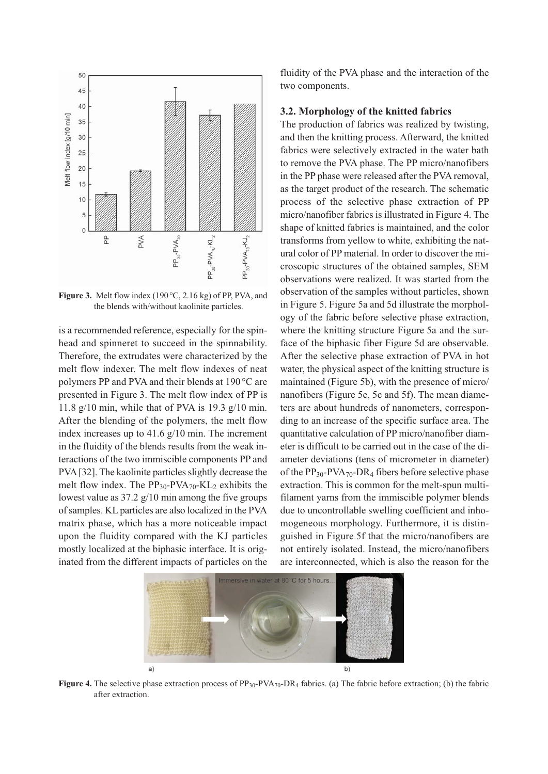

**Figure 3.** Melt flow index (190°C, 2.16 kg) of PP, PVA, and the blends with/without kaolinite particles.

is a recommended reference, especially for the spinhead and spinneret to succeed in the spinnability. Therefore, the extrudates were characterized by the melt flow indexer. The melt flow indexes of neat polymers PP and PVA and their blends at 190 °C are presented in Figure 3. The melt flow index of PP is 11.8 g/10 min, while that of PVA is 19.3 g/10 min. After the blending of the polymers, the melt flow index increases up to 41.6 g/10 min. The increment in the fluidity of the blends results from the weak interactions of the two immiscible components PP and PVA [32]. The kaolinite particles slightly decrease the melt flow index. The  $PP_{30}$ -PVA<sub>70</sub>-KL<sub>2</sub> exhibits the lowest value as  $37.2 \frac{g}{10}$  min among the five groups of samples. KL particles are also localized in the PVA matrix phase, which has a more noticeable impact upon the fluidity compared with the KJ particles mostly localized at the biphasic interface. It is originated from the different impacts of particles on the fluidity of the PVA phase and the interaction of the two components.

## **3.2. Morphology of the knitted fabrics**

The production of fabrics was realized by twisting, and then the knitting process. Afterward, the knitted fabrics were selectively extracted in the water bath to remove the PVA phase. The PP micro/nanofibers in the PP phase were released after the PVA removal, as the target product of the research. The schematic process of the selective phase extraction of PP micro/nanofiber fabrics is illustrated in Figure 4. The shape of knitted fabrics is maintained, and the color transforms from yellow to white, exhibiting the natural color of PP material. In order to discover the microscopic structures of the obtained samples, SEM observations were realized. It was started from the observation of the samples without particles, shown in Figure 5. Figure 5a and 5d illustrate the morphology of the fabric before selective phase extraction, where the knitting structure Figure 5a and the surface of the biphasic fiber Figure 5d are observable. After the selective phase extraction of PVA in hot water, the physical aspect of the knitting structure is maintained (Figure 5b), with the presence of micro/ nanofibers (Figure 5e, 5c and 5f). The mean diameters are about hundreds of nanometers, corresponding to an increase of the specific surface area. The quantitative calculation of PP micro/nanofiber diameter is difficult to be carried out in the case of the diameter deviations (tens of micrometer in diameter) of the  $PP_{30}$ -PVA<sub>70</sub>-DR<sub>4</sub> fibers before selective phase extraction. This is common for the melt-spun multifilament yarns from the immiscible polymer blends due to uncontrollable swelling coefficient and inhomogeneous morphology. Furthermore, it is distinguished in Figure 5f that the micro/nanofibers are not entirely isolated. Instead, the micro/nanofibers are interconnected, which is also the reason for the



**Figure 4.** The selective phase extraction process of PP<sub>30</sub>-PVA<sub>70</sub>-DR<sub>4</sub> fabrics. (a) The fabric before extraction; (b) the fabric after extraction.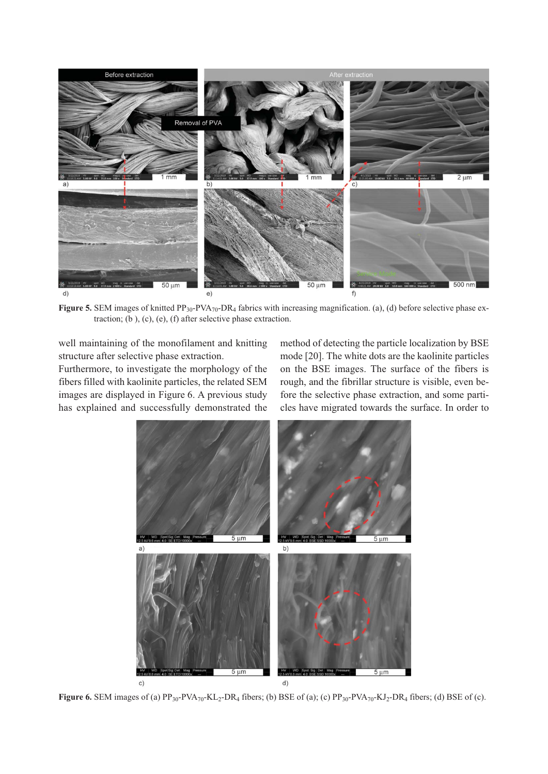

Figure 5. SEM images of knitted PP<sub>30</sub>-PVA<sub>70</sub>-DR<sub>4</sub> fabrics with increasing magnification. (a), (d) before selective phase extraction; (b ), (c), (e), (f) after selective phase extraction.

well maintaining of the monofilament and knitting structure after selective phase extraction.

Furthermore, to investigate the morphology of the fibers filled with kaolinite particles, the related SEM images are displayed in Figure 6. A previous study has explained and successfully demonstrated the method of detecting the particle localization by BSE mode [20]. The white dots are the kaolinite particles on the BSE images. The surface of the fibers is rough, and the fibrillar structure is visible, even before the selective phase extraction, and some particles have migrated towards the surface. In order to



**Figure 6.** SEM images of (a)  $PP_{30}$ -PVA<sub>70</sub>-KL<sub>2</sub>-DR<sub>4</sub> fibers; (b) BSE of (a); (c)  $PP_{30}$ -PVA<sub>70</sub>-KJ<sub>2</sub>-DR<sub>4</sub> fibers; (d) BSE of (c).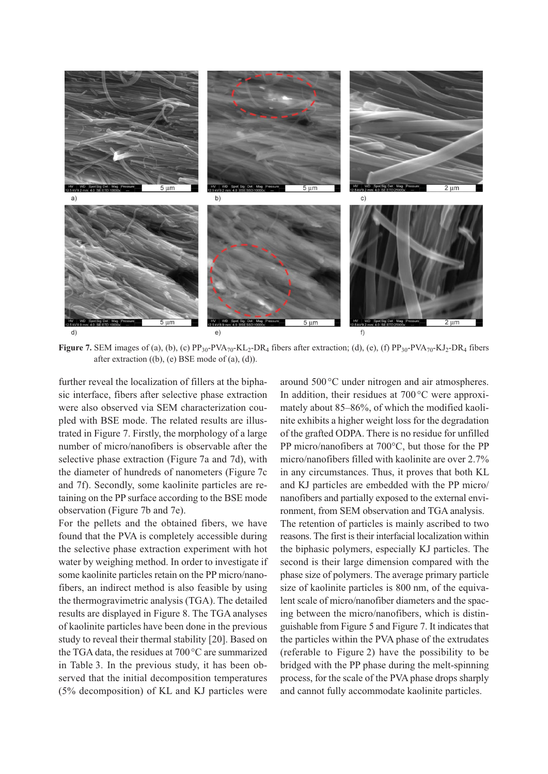

**Figure 7.** SEM images of (a), (b), (c)  $PP_{30}$ -PVA<sub>70</sub>-KL<sub>2</sub>-DR<sub>4</sub> fibers after extraction; (d), (e), (f)  $PP_{30}$ -PVA<sub>70</sub>-KJ<sub>2</sub>-DR<sub>4</sub> fibers after extraction ((b), (e) BSE mode of (a), (d)).

further reveal the localization of fillers at the biphasic interface, fibers after selective phase extraction were also observed via SEM characterization coupled with BSE mode. The related results are illustrated in Figure 7. Firstly, the morphology of a large number of micro/nanofibers is observable after the selective phase extraction (Figure 7a and 7d), with the diameter of hundreds of nanometers (Figure 7c and 7f). Secondly, some kaolinite particles are retaining on the PP surface according to the BSE mode observation (Figure 7b and 7e).

For the pellets and the obtained fibers, we have found that the PVA is completely accessible during the selective phase extraction experiment with hot water by weighing method. In order to investigate if some kaolinite particles retain on the PP micro/nanofibers, an indirect method is also feasible by using the thermogravimetric analysis (TGA). The detailed results are displayed in Figure 8. The TGA analyses of kaolinite particles have been done in the previous study to reveal their thermal stability [20]. Based on the TGA data, the residues at 700°C are summarized in Table 3. In the previous study, it has been observed that the initial decomposition temperatures (5% decomposition) of KL and KJ particles were around 500 °C under nitrogen and air atmospheres. In addition, their residues at 700 °C were approximately about 85–86%, of which the modified kaolinite exhibits a higher weight loss for the degradation of the grafted ODPA. There is no residue for unfilled PP micro/nanofibers at 700°C, but those for the PP micro/nanofibers filled with kaolinite are over 2.7% in any circumstances. Thus, it proves that both KL and KJ particles are embedded with the PP micro/ nanofibers and partially exposed to the external environment, from SEM observation and TGA analysis. The retention of particles is mainly ascribed to two reasons. The first is their interfacial localization within the biphasic polymers, especially KJ particles. The second is their large dimension compared with the phase size of polymers. The average primary particle size of kaolinite particles is 800 nm, of the equivalent scale of micro/nanofiber diameters and the spacing between the micro/nanofibers, which is distinguishable from Figure 5 and Figure 7. It indicates that the particles within the PVA phase of the extrudates (referable to Figure 2) have the possibility to be bridged with the PP phase during the melt-spinning process, for the scale of the PVA phase drops sharply and cannot fully accommodate kaolinite particles.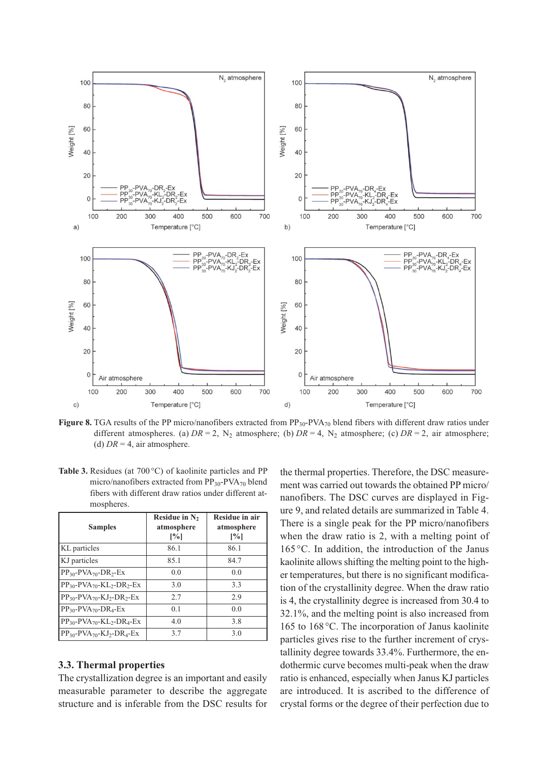

**Figure 8.** TGA results of the PP micro/nanofibers extracted from  $PP_{30}$ -PVA<sub>70</sub> blend fibers with different draw ratios under different atmospheres. (a)  $DR = 2$ ,  $N_2$  atmosphere; (b)  $DR = 4$ ,  $N_2$  atmosphere; (c)  $DR = 2$ , air atmosphere; (d)  $DR = 4$ , air atmosphere.

Table 3. Residues (at 700 °C) of kaolinite particles and PP micro/nanofibers extracted from  $PP_{30}$ -PVA<sub>70</sub> blend fibers with different draw ratios under different atmospheres.

| <b>Samples</b>                                                     | Residue in N <sub>2</sub><br>atmosphere<br>$\lceil\% \rceil$ | Residue in air<br>atmosphere<br>$\lceil\% \rceil$ |
|--------------------------------------------------------------------|--------------------------------------------------------------|---------------------------------------------------|
| KL particles                                                       | 86.1                                                         | 86.1                                              |
| KJ particles                                                       | 85.1                                                         | 84.7                                              |
| $PP_{30}$ - $PVA_{70}$ - $DR_{2}$ -Ex                              | 0.0                                                          | 0.0                                               |
| $PP_{30}$ -PVA <sub>70</sub> -KL <sub>2</sub> -DR <sub>2</sub> -Ex | 3.0                                                          | 3.3                                               |
| $PP_{30}$ - $PVA_{70}$ - $KJ_2$ - $DR_2$ - $Ex$                    | 2.7                                                          | 2.9                                               |
| $PP_{30}$ -PVA <sub>70</sub> -DR <sub>4</sub> -Ex                  | 0.1                                                          | 0.0                                               |
| $PP_{30}$ -PVA <sub>70</sub> -KL <sub>2</sub> -DR <sub>4</sub> -Ex | 4.0                                                          | 3.8                                               |
| $PP_{30}$ -PVA <sub>70</sub> -KJ <sub>2</sub> -DR <sub>4</sub> -Ex | 3.7                                                          | 3.0                                               |

### **3.3. Thermal properties**

The crystallization degree is an important and easily measurable parameter to describe the aggregate structure and is inferable from the DSC results for the thermal properties. Therefore, the DSC measurement was carried out towards the obtained PP micro/ nanofibers. The DSC curves are displayed in Figure 9, and related details are summarized in Table 4. There is a single peak for the PP micro/nanofibers when the draw ratio is 2, with a melting point of 165 °C. In addition, the introduction of the Janus kaolinite allows shifting the melting point to the higher temperatures, but there is no significant modification of the crystallinity degree. When the draw ratio is 4, the crystallinity degree is increased from 30.4 to 32.1%, and the melting point is also increased from 165 to 168 °C. The incorporation of Janus kaolinite particles gives rise to the further increment of crystallinity degree towards 33.4%. Furthermore, the endothermic curve becomes multi-peak when the draw ratio is enhanced, especially when Janus KJ particles are introduced. It is ascribed to the difference of crystal forms or the degree of their perfection due to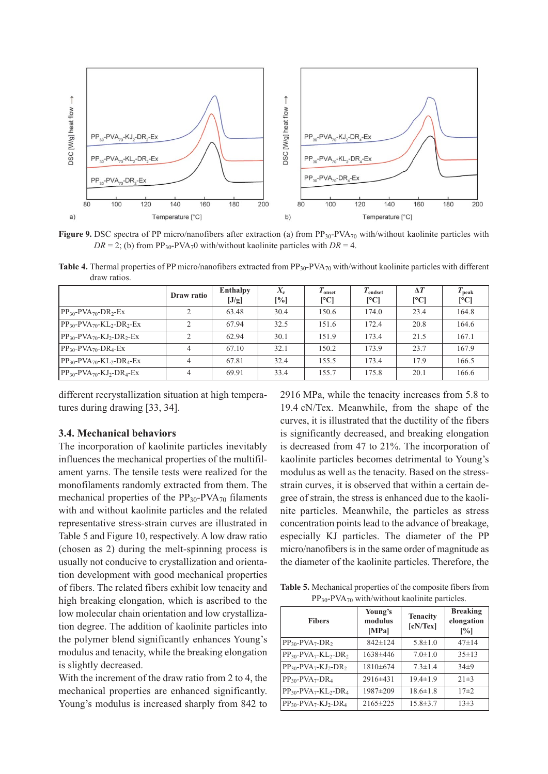

**Figure 9.** DSC spectra of PP micro/nanofibers after extraction (a) from PP<sub>30</sub>-PVA<sub>70</sub> with/without kaolinite particles with  $DR = 2$ ; (b) from PP<sub>30</sub>-PVA<sub>7</sub>0 with/without kaolinite particles with  $DR = 4$ .

**Table 4.** Thermal properties of PP micro/nanofibers extracted from PP<sub>30</sub>-PVA<sub>70</sub> with/without kaolinite particles with different draw ratios.

|                                                                    | Draw ratio     | Enthalpy<br>[J/g] | $X_{c}$<br>[%] | $T_{onset}$<br>[°C] | $I_{endset}$<br>[°C] | $\Delta T$<br>[°C] | $T_{\rm peak}$<br>$\mathsf{C}^{\mathsf{C}}$ |
|--------------------------------------------------------------------|----------------|-------------------|----------------|---------------------|----------------------|--------------------|---------------------------------------------|
| $PP_{30}$ -PVA <sub>70</sub> -DR <sub>2</sub> -Ex                  | $\mathfrak{D}$ | 63.48             | 30.4           | 150.6               | 174.0                | 23.4               | 164.8                                       |
| $PP_{30}$ -PVA <sub>70</sub> -KL <sub>2</sub> -DR <sub>2</sub> -Ex | $\mathcal{D}$  | 67.94             | 32.5           | 151.6               | 172.4                | 20.8               | 164.6                                       |
| $PP_{30}$ -PVA <sub>70</sub> -KJ <sub>2</sub> -DR <sub>2</sub> -Ex | $\bigcirc$     | 62.94             | 30.1           | 151.9               | 173.4                | 21.5               | 167.1                                       |
| $PP_{30}$ -PVA <sub>70</sub> -DR <sub>4</sub> -Ex                  | $\overline{4}$ | 67.10             | 32.1           | 150.2               | 173.9                | 23.7               | 167.9                                       |
| $PP_{30}$ -PVA <sub>70</sub> -KL <sub>2</sub> -DR <sub>4</sub> -Ex | $\overline{4}$ | 67.81             | 32.4           | 155.5               | 173.4                | 17.9               | 166.5                                       |
| $PP_{30}$ -PVA <sub>70</sub> -KJ <sub>2</sub> -DR <sub>4</sub> -Ex | $\overline{4}$ | 69.91             | 33.4           | 155.7               | 175.8                | 20.1               | 166.6                                       |

different recrystallization situation at high temperatures during drawing [33, 34].

#### **3.4. Mechanical behaviors**

The incorporation of kaolinite particles inevitably influences the mechanical properties of the multifilament yarns. The tensile tests were realized for the monofilaments randomly extracted from them. The mechanical properties of the  $PP_{30}$ -PVA<sub>70</sub> filaments with and without kaolinite particles and the related representative stress-strain curves are illustrated in Table 5 and Figure 10, respectively. A low draw ratio (chosen as 2) during the melt-spinning process is usually not conducive to crystallization and orientation development with good mechanical properties of fibers. The related fibers exhibit low tenacity and high breaking elongation, which is ascribed to the low molecular chain orientation and low crystallization degree. The addition of kaolinite particles into the polymer blend significantly enhances Young's modulus and tenacity, while the breaking elongation is slightly decreased.

With the increment of the draw ratio from 2 to 4, the mechanical properties are enhanced significantly. Young's modulus is increased sharply from 842 to 2916 MPa, while the tenacity increases from 5.8 to 19.4 cN/Tex. Meanwhile, from the shape of the curves, it is illustrated that the ductility of the fibers is significantly decreased, and breaking elongation is decreased from 47 to 21%. The incorporation of kaolinite particles becomes detrimental to Young's modulus as well as the tenacity. Based on the stressstrain curves, it is observed that within a certain degree of strain, the stress is enhanced due to the kaolinite particles. Meanwhile, the particles as stress concentration points lead to the advance of breakage, especially KJ particles. The diameter of the PP micro/nanofibers is in the same order of magnitude as the diameter of the kaolinite particles. Therefore, the

**Table 5.** Mechanical properties of the composite fibers from PP<sub>30</sub>-PVA<sub>70</sub> with/without kaolinite particles.

| <b>Fibers</b>                                                 | Young's<br>modulus<br>[MPa] | <b>Tenacity</b><br>[cN/Text] | <b>Breaking</b><br>elongation<br>$\left[\%\right]$ |  |
|---------------------------------------------------------------|-----------------------------|------------------------------|----------------------------------------------------|--|
| $PP_{30}$ -PVA <sub>7</sub> -DR <sub>2</sub>                  | $842 \pm 124$               | $5.8 \pm 1.0$                | $47 + 14$                                          |  |
| $PP_{30}$ -PVA <sub>7</sub> -KL <sub>2</sub> -DR <sub>2</sub> | 1638±446                    | $7.0 \pm 1.0$                | $35 \pm 13$                                        |  |
| $PP_{30}$ -PVA <sub>7</sub> -KJ <sub>2</sub> -DR <sub>2</sub> | $1810\pm 674$               | $7.3 \pm 1.4$                | $34+9$                                             |  |
| $PP_{30}$ -PVA <sub>7</sub> -DR <sub>4</sub>                  | $2916\pm 431$               | $19.4 \pm 1.9$               | $21 \pm 3$                                         |  |
| $PP_{30}$ -PVA <sub>7</sub> -KL <sub>2</sub> -DR <sub>4</sub> | 1987±209                    | $18.6 \pm 1.8$               | $17 + 2$                                           |  |
| $PP_{30}$ -PVA <sub>7</sub> -KJ <sub>2</sub> -DR <sub>4</sub> | 2165±225                    | $15.8 \pm 3.7$               | $13\pm3$                                           |  |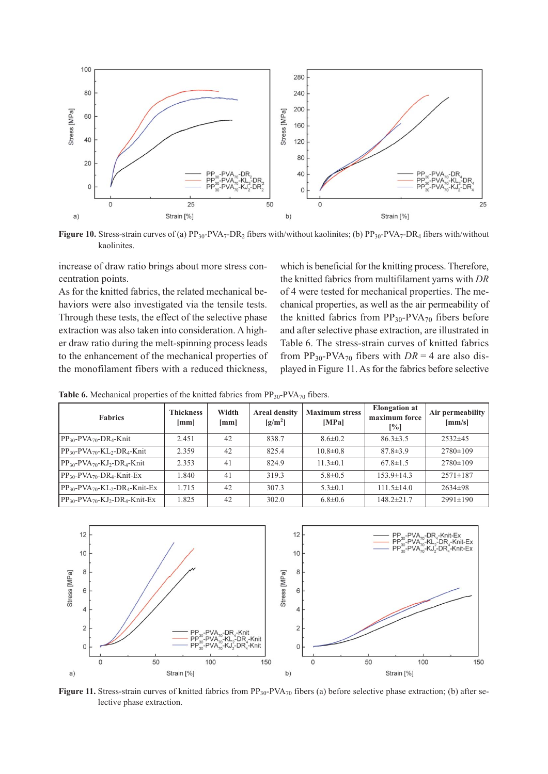

**Figure 10.** Stress-strain curves of (a) PP<sub>30</sub>-PVA<sub>7</sub>-DR<sub>2</sub> fibers with/without kaolinites; (b) PP<sub>30</sub>-PVA<sub>7</sub>-DR<sub>4</sub> fibers with/without kaolinites.

increase of draw ratio brings about more stress concentration points.

As for the knitted fabrics, the related mechanical behaviors were also investigated via the tensile tests. Through these tests, the effect of the selective phase extraction was also taken into consideration. A higher draw ratio during the melt-spinning process leads to the enhancement of the mechanical properties of the monofilament fibers with a reduced thickness, which is beneficial for the knitting process. Therefore, the knitted fabrics from multifilament yarns with *DR* of 4 were tested for mechanical properties. The mechanical properties, as well as the air permeability of the knitted fabrics from  $PP_{30}$ -PVA<sub>70</sub> fibers before and after selective phase extraction, are illustrated in Table 6. The stress-strain curves of knitted fabrics from  $PP_{30}$ -PVA<sub>70</sub> fibers with  $DR = 4$  are also displayed in Figure 11. As for the fabrics before selective

**Table 6.** Mechanical properties of the knitted fabrics from  $PP_{30}$ -PVA<sub>70</sub> fibers.

| <b>Fabrics</b>                                                          | <b>Thickness</b><br>$\lceil$ mm $\rceil$ | Width<br>$\lceil$ mm $\rceil$ | <b>Areal density</b><br>$\left[\frac{\text{g}}{\text{m}^2}\right]$ | <b>Maximum stress</b><br>[MPa] | <b>Elongation</b> at<br>maximum force<br>$\left[\%\right]$ | Air permeability<br>${\rm [mm/s]}$ |
|-------------------------------------------------------------------------|------------------------------------------|-------------------------------|--------------------------------------------------------------------|--------------------------------|------------------------------------------------------------|------------------------------------|
| $PP_{30}$ -PVA <sub>70</sub> -DR <sub>4</sub> -Knit                     | 2.451                                    | 42                            | 838.7                                                              | $8.6 \pm 0.2$                  | $86.3 \pm 3.5$                                             | $2532\pm45$                        |
| $PP_{30}$ -PVA <sub>70</sub> -KL <sub>2</sub> -DR <sub>4</sub> -Knit    | 2.359                                    | 42                            | 825.4                                                              | $10.8 \pm 0.8$                 | $87.8 \pm 3.9$                                             | $2780 \pm 109$                     |
| $PP_{30}$ -PVA <sub>70</sub> -KJ <sub>2</sub> -DR <sub>4</sub> -Knit    | 2.353                                    | 41                            | 824.9                                                              | $11.3 \pm 0.1$                 | $67.8 \pm 1.5$                                             | $2780 \pm 109$                     |
| $PP_{30}$ -PVA <sub>70</sub> -DR <sub>4</sub> -Knit-Ex                  | 1.840                                    | 41                            | 319.3                                                              | $5.8 \pm 0.5$                  | $153.9 \pm 14.3$                                           | $2571 \pm 187$                     |
| $PP_{30}$ -PVA <sub>70</sub> -KL <sub>2</sub> -DR <sub>4</sub> -Knit-Ex | 1.715                                    | 42                            | 307.3                                                              | $5.3 \pm 0.1$                  | $111.5 \pm 14.0$                                           | $2634\pm98$                        |
| $PP_{30}$ -PVA <sub>70</sub> -KJ <sub>2</sub> -DR <sub>4</sub> -Knit-Ex | 1.825                                    | 42                            | 302.0                                                              | $6.8 \pm 0.6$                  | $148.2 \pm 21.7$                                           | $2991 \pm 190$                     |



**Figure 11.** Stress-strain curves of knitted fabrics from  $PP_{30}$ -PVA<sub>70</sub> fibers (a) before selective phase extraction; (b) after selective phase extraction.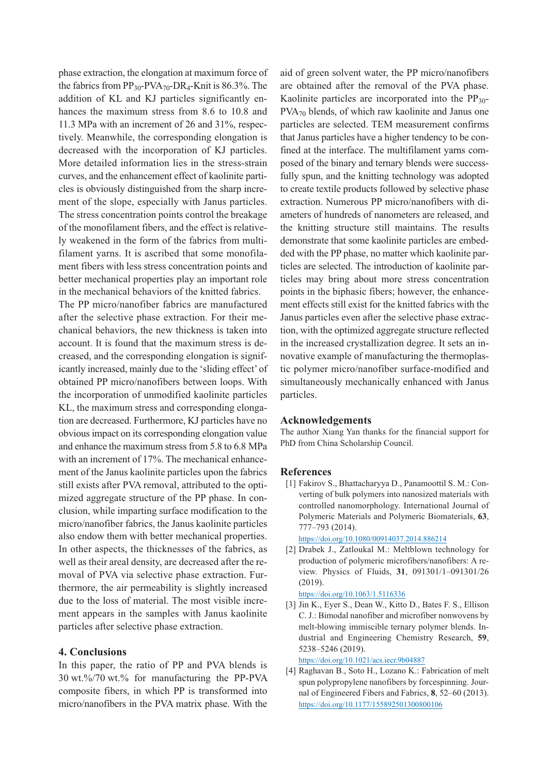phase extraction, the elongation at maximum force of the fabrics from  $PP_{30}$ -PVA<sub>70</sub>-DR<sub>4</sub>-Knit is 86.3%. The addition of KL and KJ particles significantly enhances the maximum stress from 8.6 to 10.8 and 11.3 MPa with an increment of 26 and 31%, respectively. Meanwhile, the corresponding elongation is decreased with the incorporation of KJ particles. More detailed information lies in the stress-strain curves, and the enhancement effect of kaolinite particles is obviously distinguished from the sharp increment of the slope, especially with Janus particles. The stress concentration points control the breakage of the monofilament fibers, and the effect is relatively weakened in the form of the fabrics from multifilament yarns. It is ascribed that some monofilament fibers with less stress concentration points and better mechanical properties play an important role in the mechanical behaviors of the knitted fabrics.

The PP micro/nanofiber fabrics are manufactured after the selective phase extraction. For their mechanical behaviors, the new thickness is taken into account. It is found that the maximum stress is decreased, and the corresponding elongation is significantly increased, mainly due to the 'sliding effect' of obtained PP micro/nanofibers between loops. With the incorporation of unmodified kaolinite particles KL, the maximum stress and corresponding elongation are decreased. Furthermore, KJ particles have no obvious impact on its corresponding elongation value and enhance the maximum stress from 5.8 to 6.8 MPa with an increment of 17%. The mechanical enhancement of the Janus kaolinite particles upon the fabrics still exists after PVA removal, attributed to the optimized aggregate structure of the PP phase. In conclusion, while imparting surface modification to the micro/nanofiber fabrics, the Janus kaolinite particles also endow them with better mechanical properties. In other aspects, the thicknesses of the fabrics, as well as their areal density, are decreased after the removal of PVA via selective phase extraction. Furthermore, the air permeability is slightly increased due to the loss of material. The most visible increment appears in the samples with Janus kaolinite particles after selective phase extraction.

### **4. Conclusions**

In this paper, the ratio of PP and PVA blends is 30 wt.%/70 wt.% for manufacturing the PP-PVA composite fibers, in which PP is transformed into micro/nanofibers in the PVA matrix phase. With the aid of green solvent water, the PP micro/nanofibers are obtained after the removal of the PVA phase. Kaolinite particles are incorporated into the  $PP_{30}$ -PVA<sub>70</sub> blends, of which raw kaolinite and Janus one particles are selected. TEM measurement confirms that Janus particles have a higher tendency to be confined at the interface. The multifilament yarns composed of the binary and ternary blends were successfully spun, and the knitting technology was adopted to create textile products followed by selective phase extraction. Numerous PP micro/nanofibers with diameters of hundreds of nanometers are released, and the knitting structure still maintains. The results demonstrate that some kaolinite particles are embedded with the PP phase, no matter which kaolinite particles are selected. The introduction of kaolinite particles may bring about more stress concentration points in the biphasic fibers; however, the enhancement effects still exist for the knitted fabrics with the Janus particles even after the selective phase extraction, with the optimized aggregate structure reflected in the increased crystallization degree. It sets an innovative example of manufacturing the thermoplastic polymer micro/nanofiber surface-modified and simultaneously mechanically enhanced with Janus particles.

#### **Acknowledgements**

The author Xiang Yan thanks for the financial support for PhD from China Scholarship Council.

#### **References**

[1] Fakirov S., Bhattacharyya D., Panamoottil S. M.: Converting of bulk polymers into nanosized materials with controlled nanomorphology. International Journal of Polymeric Materials and Polymeric Biomaterials, **63**, 777–793 (2014).

https://doi.org/10.1080/00914037.2014.886214

[2] Drabek J., Zatloukal M.: Meltblown technology for production of polymeric microfibers/nanofibers: A review. Physics of Fluids, **31**, 091301/1–091301/26 (2019).

https://doi.org/10.1063/1.5116336

[3] Jin K., Eyer S., Dean W., Kitto D., Bates F. S., Ellison C. J.: Bimodal nanofiber and microfiber nonwovens by melt-blowing immiscible ternary polymer blends. Industrial and Engineering Chemistry Research, **59**, 5238–5246 (2019).

https://doi.org/10.1021/acs.iecr.9b04887

[4] Raghavan B., Soto H., Lozano K.: Fabrication of melt spun polypropylene nanofibers by forcespinning. Journal of Engineered Fibers and Fabrics, **8**, 52–60 (2013). https://doi.org/10.1177/155892501300800106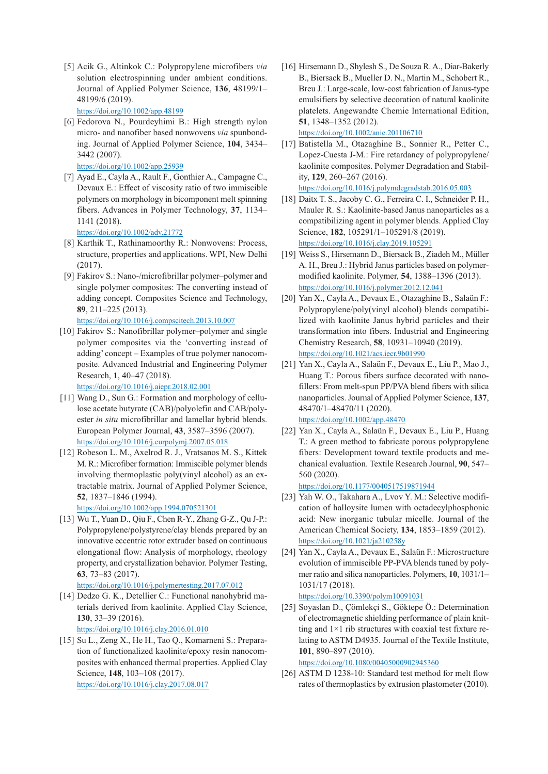- [5] Acik G., Altinkok C.: Polypropylene microfibers *via* solution electrospinning under ambient conditions. Journal of Applied Polymer Science, **136**, 48199/1– 48199/6 (2019). https://doi.org/10.1002/app.48199
- [6] Fedorova N., Pourdeyhimi B.: High strength nylon micro- and nanofiber based nonwovens *via* spunbonding. Journal of Applied Polymer Science, **104**, 3434– 3442 (2007).

https://doi.org/10.1002/app.25939

[7] Ayad E., Cayla A., Rault F., Gonthier A., Campagne C., Devaux E.: Effect of viscosity ratio of two immiscible polymers on morphology in bicomponent melt spinning fibers. Advances in Polymer Technology, **37**, 1134– 1141 (2018).

https://doi.org/10.1002/adv.21772

- [8] Karthik T., Rathinamoorthy R.: Nonwovens: Process, structure, properties and applications. WPI, New Delhi (2017).
- [9] Fakirov S.: Nano-/microfibrillar polymer–polymer and single polymer composites: The converting instead of adding concept. Composites Science and Technology, **89**, 211–225 (2013). https://doi.org/10.1016/j.compscitech.2013.10.007
- [10] Fakirov S.: Nanofibrillar polymer-polymer and single polymer composites via the 'converting instead of adding' concept – Examples of true polymer nanocomposite. Advanced Industrial and Engineering Polymer Research, **1**, 40–47 (2018).

https://doi.org/10.1016/j.aiepr.2018.02.001

- [11] Wang D., Sun G.: Formation and morphology of cellulose acetate butyrate (CAB)/polyolefin and CAB/polyester *in situ* microfibrillar and lamellar hybrid blends. European Polymer Journal, **43**, 3587–3596 (2007). https://doi.org/10.1016/j.eurpolymj.2007.05.018
- [12] Robeson L. M., Axelrod R. J., Vratsanos M. S., Kittek M. R.: Microfiber formation: Immiscible polymer blends involving thermoplastic poly(vinyl alcohol) as an extractable matrix. Journal of Applied Polymer Science, **52**, 1837–1846 (1994).

https://doi.org/10.1002/app.1994.070521301

[13] Wu T., Yuan D., Qiu F., Chen R-Y., Zhang G-Z., Qu J-P.: Polypropylene/polystyrene/clay blends prepared by an innovative eccentric rotor extruder based on continuous elongational flow: Analysis of morphology, rheology property, and crystallization behavior. Polymer Testing, **63**, 73–83 (2017).

https://doi.org/10.1016/j.polymertesting.2017.07.012

[14] Dedzo G. K., Detellier C.: Functional nanohybrid materials derived from kaolinite. Applied Clay Science, **130**, 33–39 (2016).

https://doi.org/10.1016/j.clay.2016.01.010

[15] Su L., Zeng X., He H., Tao Q., Komarneni S.: Preparation of functionalized kaolinite/epoxy resin nanocomposites with enhanced thermal properties. Applied Clay Science, **148**, 103–108 (2017). https://doi.org/10.1016/j.clay.2017.08.017

- [16] Hirsemann D., Shylesh S., De Souza R. A., Diar-Bakerly B., Biersack B., Mueller D. N., Martin M., Schobert R., Breu J.: Large-scale, low-cost fabrication of Janus-type emulsifiers by selective decoration of natural kaolinite platelets. Angewandte Chemie International Edition, **51**, 1348–1352 (2012). https://doi.org/10.1002/anie.201106710
- [17] Batistella M., Otazaghine B., Sonnier R., Petter C., Lopez-Cuesta J-M.: Fire retardancy of polypropylene/ kaolinite composites. Polymer Degradation and Stability, **129**, 260–267 (2016).

https://doi.org/10.1016/j.polymdegradstab.2016.05.003

- [18] Daitx T. S., Jacoby C. G., Ferreira C. I., Schneider P. H., Mauler R. S.: Kaolinite-based Janus nanoparticles as a compatibilizing agent in polymer blends. Applied Clay Science, **182**, 105291/1–105291/8 (2019). https://doi.org/10.1016/j.clay.2019.105291
- [19] Weiss S., Hirsemann D., Biersack B., Ziadeh M., Müller A. H., Breu J.: Hybrid Janus particles based on polymermodified kaolinite. Polymer, **54**, 1388–1396 (2013). https://doi.org/10.1016/j.polymer.2012.12.041
- [20] Yan X., Cayla A., Devaux E., Otazaghine B., Salaün F.: Polypropylene/poly(vinyl alcohol) blends compatibilized with kaolinite Janus hybrid particles and their transformation into fibers. Industrial and Engineering Chemistry Research, **58**, 10931–10940 (2019). https://doi.org/10.1021/acs.iecr.9b01990
- [21] Yan X., Cayla A., Salaün F., Devaux E., Liu P., Mao J., Huang T.: Porous fibers surface decorated with nanofillers: From melt-spun PP/PVA blend fibers with silica nanoparticles. Journal of Applied Polymer Science, **137**, 48470/1–48470/11 (2020). https://doi.org/10.1002/app.48470
- [22] Yan X., Cayla A., Salaün F., Devaux E., Liu P., Huang T.: A green method to fabricate porous polypropylene fibers: Development toward textile products and mechanical evaluation. Textile Research Journal, **90**, 547– 560 (2020).

https://doi.org/10.1177/0040517519871944

- [23] Yah W. O., Takahara A., Lvov Y. M.: Selective modification of halloysite lumen with octadecylphosphonic acid: New inorganic tubular micelle. Journal of the American Chemical Society, **134**, 1853–1859 (2012). https://doi.org/10.1021/ja210258y
- [24] Yan X., Cayla A., Devaux E., Salaün F.: Microstructure evolution of immiscible PP-PVA blends tuned by polymer ratio and silica nanoparticles. Polymers, **10**, 1031/1– 1031/17 (2018).

https://doi.org/10.3390/polym10091031

[25] Soyaslan D., Çömlekçi S., Göktepe Ö.: Determination of electromagnetic shielding performance of plain knitting and  $1\times1$  rib structures with coaxial test fixture relating to ASTM D4935. Journal of the Textile Institute, **101**, 890–897 (2010).

https://doi.org/10.1080/00405000902945360

[26] ASTM D 1238-10: Standard test method for melt flow rates of thermoplastics by extrusion plastometer (2010).